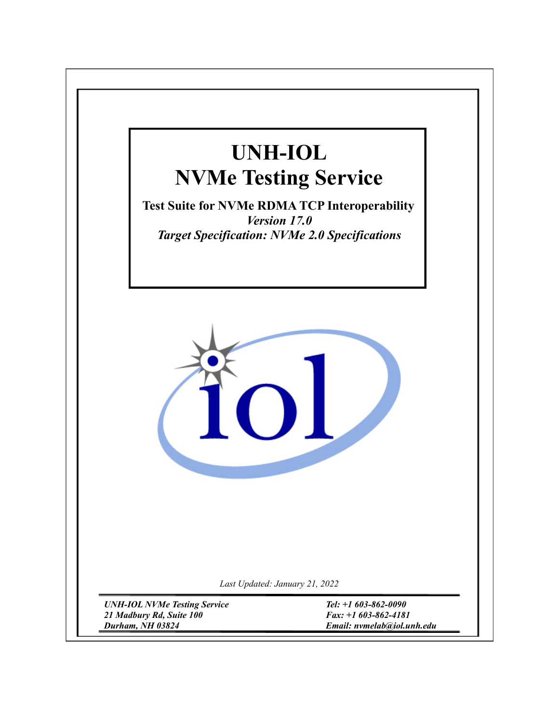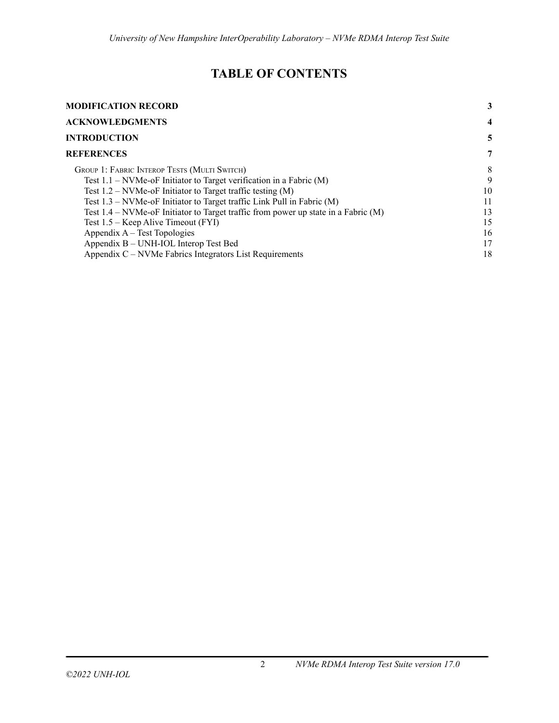# **TABLE OF CONTENTS**

| <b>MODIFICATION RECORD</b>                                                           |    |
|--------------------------------------------------------------------------------------|----|
| <b>ACKNOWLEDGMENTS</b>                                                               | 4  |
| <b>INTRODUCTION</b>                                                                  | 5  |
| <b>REFERENCES</b>                                                                    | 7  |
| GROUP 1: FABRIC INTEROP TESTS (MULTI SWITCH)                                         | 8  |
| Test $1.1$ – NVMe-oF Initiator to Target verification in a Fabric (M)                | 9  |
| Test $1.2$ – NVMe-oF Initiator to Target traffic testing (M)                         | 10 |
| Test $1.3$ – NVMe-oF Initiator to Target traffic Link Pull in Fabric (M)             | 11 |
| Test $1.4$ – NVMe-oF Initiator to Target traffic from power up state in a Fabric (M) | 13 |
| Test 1.5 – Keep Alive Timeout (FYI)                                                  | 15 |
| Appendix A – Test Topologies                                                         | 16 |
| Appendix B – UNH-IOL Interop Test Bed                                                | 17 |
| Appendix C – NVMe Fabrics Integrators List Requirements                              | 18 |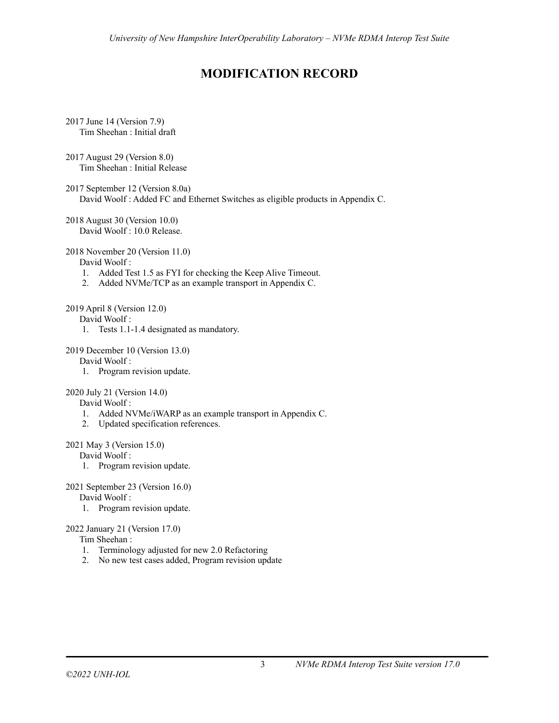# **MODIFICATION RECORD**

- <span id="page-2-0"></span>2017 June 14 (Version 7.9) Tim Sheehan : Initial draft
- 2017 August 29 (Version 8.0) Tim Sheehan : Initial Release
- 2017 September 12 (Version 8.0a) David Woolf : Added FC and Ethernet Switches as eligible products in Appendix C.
- 2018 August 30 (Version 10.0) David Woolf : 10.0 Release.

### 2018 November 20 (Version 11.0)

David Woolf :

- 1. Added Test 1.5 as FYI for checking the Keep Alive Timeout.
- 2. Added NVMe/TCP as an example transport in Appendix C.

#### 2019 April 8 (Version 12.0)

David Woolf :

1. Tests 1.1-1.4 designated as mandatory.

### 2019 December 10 (Version 13.0)

David Woolf :

1. Program revision update.

### 2020 July 21 (Version 14.0)

David Woolf :

- 1. Added NVMe/iWARP as an example transport in Appendix C.
- 2. Updated specification references.

### 2021 May 3 (Version 15.0)

David Woolf :

1. Program revision update.

### 2021 September 23 (Version 16.0)

David Woolf :

1. Program revision update.

## 2022 January 21 (Version 17.0)

## Tim Sheehan :

- 1. Terminology adjusted for new 2.0 Refactoring
- 2. No new test cases added, Program revision update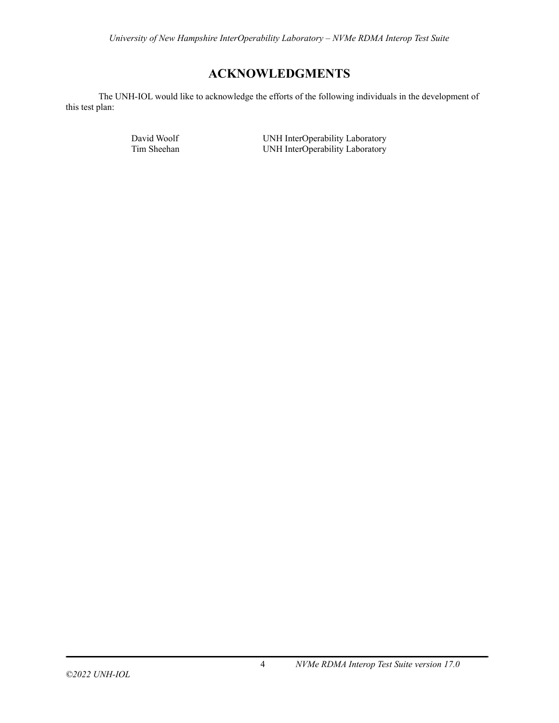# **ACKNOWLEDGMENTS**

<span id="page-3-0"></span>The UNH-IOL would like to acknowledge the efforts of the following individuals in the development of this test plan:

David Woolf UNH InterOperability Laboratory<br>
UNH InterOperability Laboratory<br>
UNH InterOperability Laboratory UNH InterOperability Laboratory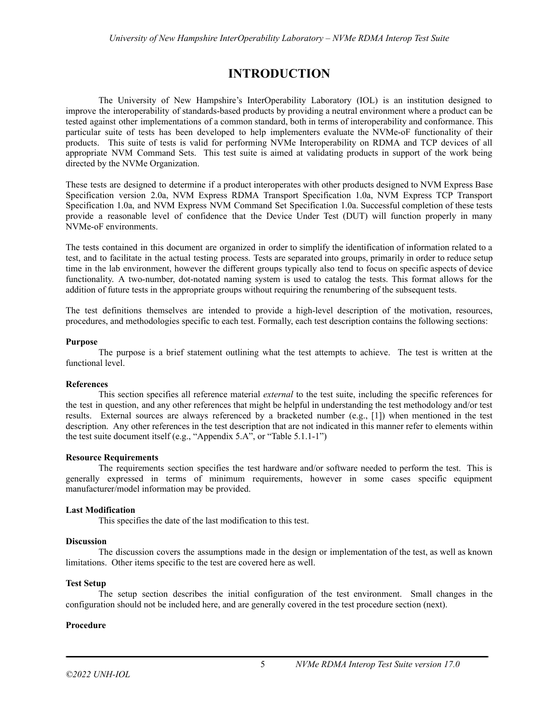# **INTRODUCTION**

<span id="page-4-0"></span>The University of New Hampshire's InterOperability Laboratory (IOL) is an institution designed to improve the interoperability of standards-based products by providing a neutral environment where a product can be tested against other implementations of a common standard, both in terms of interoperability and conformance. This particular suite of tests has been developed to help implementers evaluate the NVMe-oF functionality of their products. This suite of tests is valid for performing NVMe Interoperability on RDMA and TCP devices of all appropriate NVM Command Sets. This test suite is aimed at validating products in support of the work being directed by the NVMe Organization.

These tests are designed to determine if a product interoperates with other products designed to NVM Express Base Specification version 2.0a, NVM Express RDMA Transport Specification 1.0a, NVM Express TCP Transport Specification 1.0a, and NVM Express NVM Command Set Specification 1.0a. Successful completion of these tests provide a reasonable level of confidence that the Device Under Test (DUT) will function properly in many NVMe-oF environments.

The tests contained in this document are organized in order to simplify the identification of information related to a test, and to facilitate in the actual testing process. Tests are separated into groups, primarily in order to reduce setup time in the lab environment, however the different groups typically also tend to focus on specific aspects of device functionality. A two-number, dot-notated naming system is used to catalog the tests. This format allows for the addition of future tests in the appropriate groups without requiring the renumbering of the subsequent tests.

The test definitions themselves are intended to provide a high-level description of the motivation, resources, procedures, and methodologies specific to each test. Formally, each test description contains the following sections:

#### **Purpose**

The purpose is a brief statement outlining what the test attempts to achieve. The test is written at the functional level.

### **References**

This section specifies all reference material *external* to the test suite, including the specific references for the test in question, and any other references that might be helpful in understanding the test methodology and/or test results. External sources are always referenced by a bracketed number (e.g., [1]) when mentioned in the test description. Any other references in the test description that are not indicated in this manner refer to elements within the test suite document itself (e.g., "Appendix 5.A", or "Table 5.1.1-1")

### **Resource Requirements**

The requirements section specifies the test hardware and/or software needed to perform the test. This is generally expressed in terms of minimum requirements, however in some cases specific equipment manufacturer/model information may be provided.

### **Last Modification**

This specifies the date of the last modification to this test.

### **Discussion**

The discussion covers the assumptions made in the design or implementation of the test, as well as known limitations. Other items specific to the test are covered here as well.

#### **Test Setup**

The setup section describes the initial configuration of the test environment. Small changes in the configuration should not be included here, and are generally covered in the test procedure section (next).

#### **Procedure**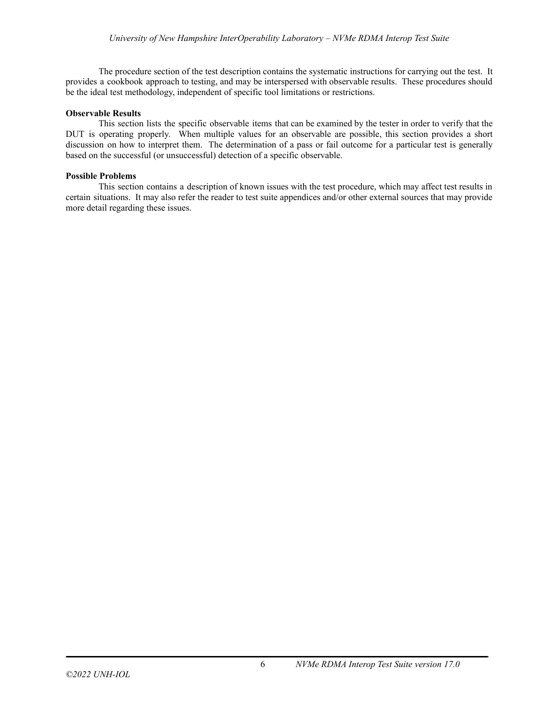The procedure section of the test description contains the systematic instructions for carrying out the test. It provides a cookbook approach to testing, and may be interspersed with observable results. These procedures should be the ideal test methodology, independent of specific tool limitations or restrictions.

#### **Observable Results**

This section lists the specific observable items that can be examined by the tester in order to verify that the DUT is operating properly. When multiple values for an observable are possible, this section provides a short discussion on how to interpret them. The determination of a pass or fail outcome for a particular test is generally based on the successful (or unsuccessful) detection of a specific observable.

#### **Possible Problems**

This section contains a description of known issues with the test procedure, which may affect test results in certain situations. It may also refer the reader to test suite appendices and/or other external sources that may provide more detail regarding these issues.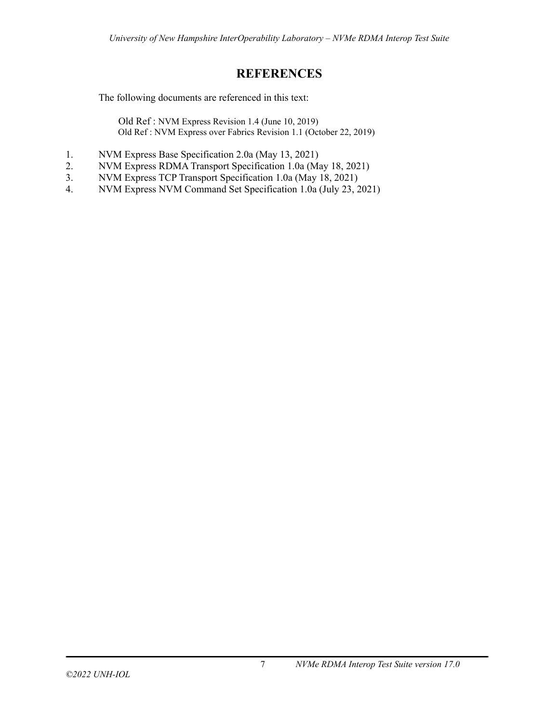# **REFERENCES**

<span id="page-6-0"></span>The following documents are referenced in this text:

Old Ref : NVM Express Revision 1.4 (June 10, 2019) Old Ref : NVM Express over Fabrics Revision 1.1 (October 22, 2019)

- 1. NVM Express Base Specification 2.0a (May 13, 2021)
- 2. NVM Express RDMA Transport Specification 1.0a (May 18, 2021)
- 3. NVM Express TCP Transport Specification 1.0a (May 18, 2021)
- 4. NVM Express NVM Command Set Specification 1.0a (July 23, 2021)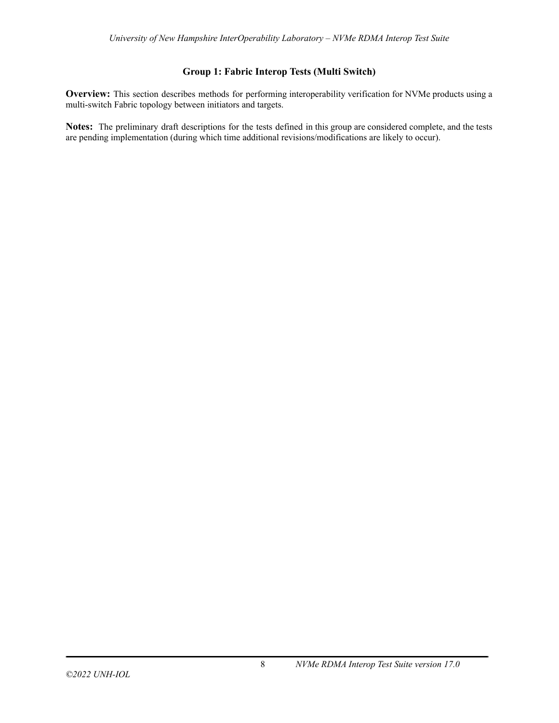## **Group 1: Fabric Interop Tests (Multi Switch)**

<span id="page-7-0"></span>**Overview:** This section describes methods for performing interoperability verification for NVMe products using a multi-switch Fabric topology between initiators and targets.

**Notes:** The preliminary draft descriptions for the tests defined in this group are considered complete, and the tests are pending implementation (during which time additional revisions/modifications are likely to occur).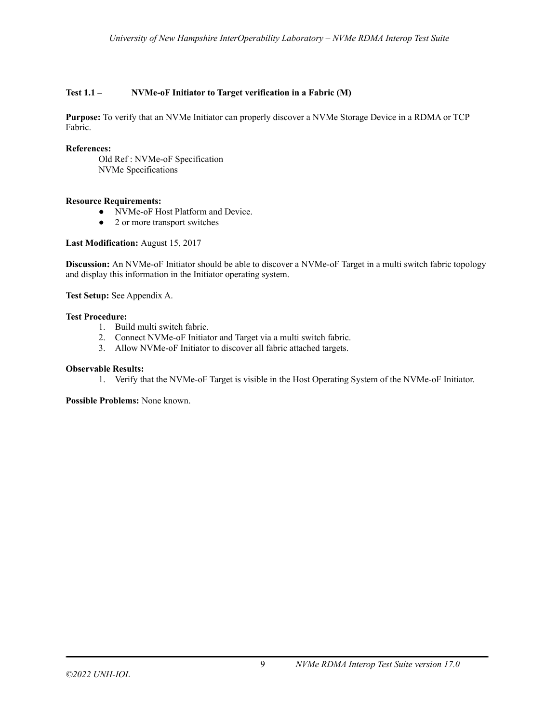## <span id="page-8-0"></span>**Test 1.1 – NVMe-oF Initiator to Target verification in a Fabric (M)**

**Purpose:** To verify that an NVMe Initiator can properly discover a NVMe Storage Device in a RDMA or TCP Fabric.

## **References:**

Old Ref : NVMe-oF Specification NVMe Specifications

## **Resource Requirements:**

- NVMe-oF Host Platform and Device.
- 2 or more transport switches

### **Last Modification:** August 15, 2017

**Discussion:** An NVMe-oF Initiator should be able to discover a NVMe-oF Target in a multi switch fabric topology and display this information in the Initiator operating system.

**Test Setup:** See Appendix A.

## **Test Procedure:**

- 1. Build multi switch fabric.
- 2. Connect NVMe-oF Initiator and Target via a multi switch fabric.
- 3. Allow NVMe-oF Initiator to discover all fabric attached targets.

### **Observable Results:**

1. Verify that the NVMe-oF Target is visible in the Host Operating System of the NVMe-oF Initiator.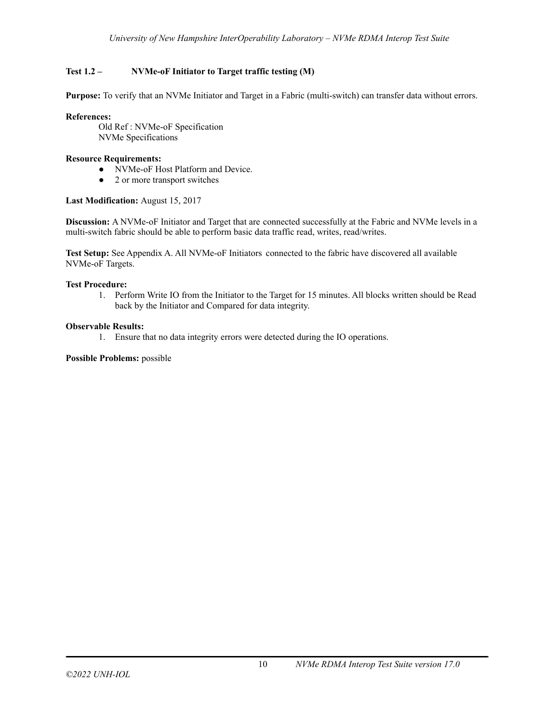## <span id="page-9-0"></span>**Test 1.2 – NVMe-oF Initiator to Target traffic testing (M)**

**Purpose:** To verify that an NVMe Initiator and Target in a Fabric (multi-switch) can transfer data without errors.

## **References:**

Old Ref : NVMe-oF Specification NVMe Specifications

## **Resource Requirements:**

- NVMe-oF Host Platform and Device.
- 2 or more transport switches

## **Last Modification:** August 15, 2017

**Discussion:** A NVMe-oF Initiator and Target that are connected successfully at the Fabric and NVMe levels in a multi-switch fabric should be able to perform basic data traffic read, writes, read/writes.

**Test Setup:** See Appendix A. All NVMe-oF Initiators connected to the fabric have discovered all available NVMe-oF Targets.

### **Test Procedure:**

1. Perform Write IO from the Initiator to the Target for 15 minutes. All blocks written should be Read back by the Initiator and Compared for data integrity.

## **Observable Results:**

1. Ensure that no data integrity errors were detected during the IO operations.

## **Possible Problems:** possible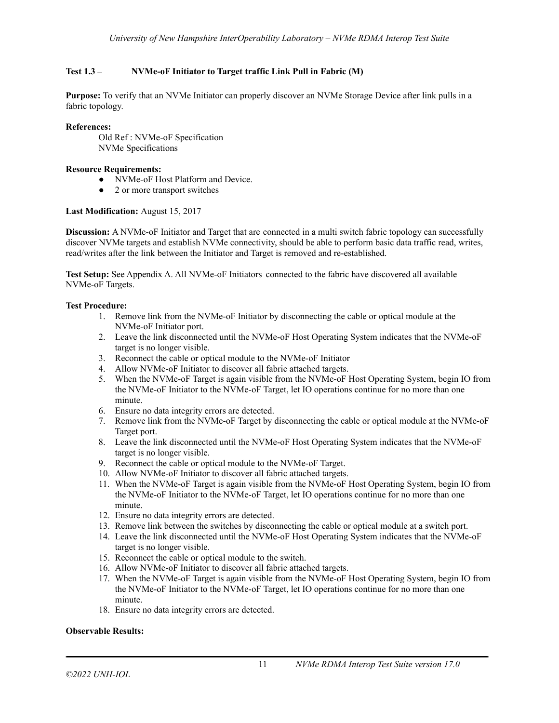## <span id="page-10-0"></span>**Test 1.3 – NVMe-oF Initiator to Target traffic Link Pull in Fabric (M)**

**Purpose:** To verify that an NVMe Initiator can properly discover an NVMe Storage Device after link pulls in a fabric topology.

### **References:**

Old Ref : NVMe-oF Specification NVMe Specifications

#### **Resource Requirements:**

- NVMe-oF Host Platform and Device.
- 2 or more transport switches

#### **Last Modification:** August 15, 2017

**Discussion:** A NVMe-oF Initiator and Target that are connected in a multi switch fabric topology can successfully discover NVMe targets and establish NVMe connectivity, should be able to perform basic data traffic read, writes, read/writes after the link between the Initiator and Target is removed and re-established.

**Test Setup:** See Appendix A. All NVMe-oF Initiators connected to the fabric have discovered all available NVMe-oF Targets.

#### **Test Procedure:**

- 1. Remove link from the NVMe-oF Initiator by disconnecting the cable or optical module at the NVMe-oF Initiator port.
- 2. Leave the link disconnected until the NVMe-oF Host Operating System indicates that the NVMe-oF target is no longer visible.
- 3. Reconnect the cable or optical module to the NVMe-oF Initiator
- 4. Allow NVMe-oF Initiator to discover all fabric attached targets.
- 5. When the NVMe-oF Target is again visible from the NVMe-oF Host Operating System, begin IO from the NVMe-oF Initiator to the NVMe-oF Target, let IO operations continue for no more than one minute.
- 6. Ensure no data integrity errors are detected.
- 7. Remove link from the NVMe-oF Target by disconnecting the cable or optical module at the NVMe-oF Target port.
- 8. Leave the link disconnected until the NVMe-oF Host Operating System indicates that the NVMe-oF target is no longer visible.
- 9. Reconnect the cable or optical module to the NVMe-oF Target.
- 10. Allow NVMe-oF Initiator to discover all fabric attached targets.
- 11. When the NVMe-oF Target is again visible from the NVMe-oF Host Operating System, begin IO from the NVMe-oF Initiator to the NVMe-oF Target, let IO operations continue for no more than one minute.
- 12. Ensure no data integrity errors are detected.
- 13. Remove link between the switches by disconnecting the cable or optical module at a switch port.
- 14. Leave the link disconnected until the NVMe-oF Host Operating System indicates that the NVMe-oF target is no longer visible.
- 15. Reconnect the cable or optical module to the switch.
- 16. Allow NVMe-oF Initiator to discover all fabric attached targets.
- 17. When the NVMe-oF Target is again visible from the NVMe-oF Host Operating System, begin IO from the NVMe-oF Initiator to the NVMe-oF Target, let IO operations continue for no more than one minute.
- 18. Ensure no data integrity errors are detected.

### **Observable Results:**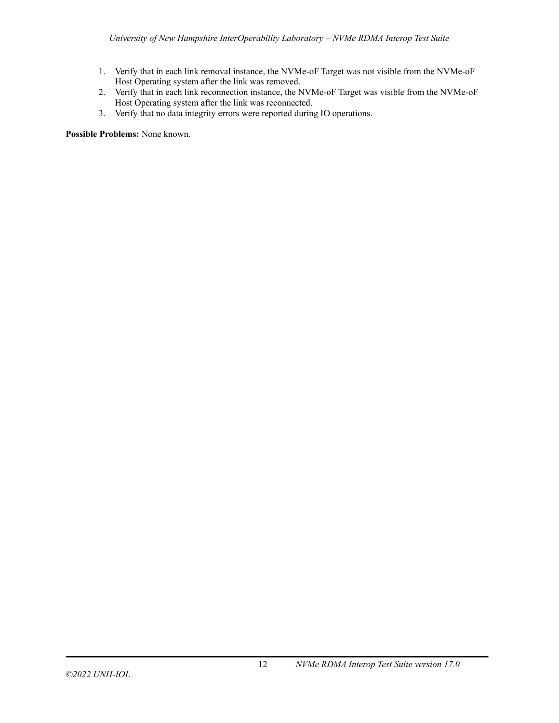- 1. Verify that in each link removal instance, the NVMe-oF Target was not visible from the NVMe-oF Host Operating system after the link was removed.
- 2. Verify that in each link reconnection instance, the NVMe-oF Target was visible from the NVMe-oF Host Operating system after the link was reconnected.
- 3. Verify that no data integrity errors were reported during IO operations.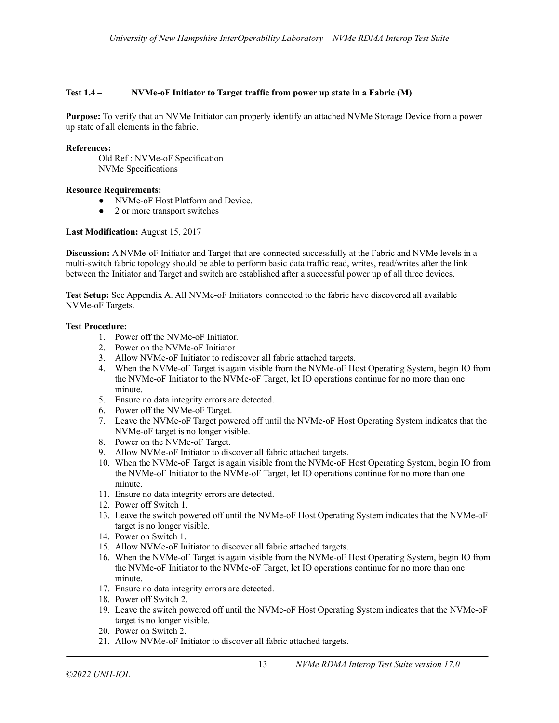## <span id="page-12-0"></span>**Test 1.4 – NVMe-oF Initiator to Target traffic from power up state in a Fabric (M)**

**Purpose:** To verify that an NVMe Initiator can properly identify an attached NVMe Storage Device from a power up state of all elements in the fabric.

#### **References:**

Old Ref : NVMe-oF Specification NVMe Specifications

### **Resource Requirements:**

- NVMe-oF Host Platform and Device.
- 2 or more transport switches

### **Last Modification:** August 15, 2017

**Discussion:** A NVMe-oF Initiator and Target that are connected successfully at the Fabric and NVMe levels in a multi-switch fabric topology should be able to perform basic data traffic read, writes, read/writes after the link between the Initiator and Target and switch are established after a successful power up of all three devices.

**Test Setup:** See Appendix A. All NVMe-oF Initiators connected to the fabric have discovered all available NVMe-oF Targets.

#### **Test Procedure:**

- 1. Power off the NVMe-oF Initiator.
- 2. Power on the NVMe-oF Initiator
- 3. Allow NVMe-oF Initiator to rediscover all fabric attached targets.
- 4. When the NVMe-oF Target is again visible from the NVMe-oF Host Operating System, begin IO from the NVMe-oF Initiator to the NVMe-oF Target, let IO operations continue for no more than one minute.
- 5. Ensure no data integrity errors are detected.
- 6. Power off the NVMe-oF Target.
- 7. Leave the NVMe-oF Target powered off until the NVMe-oF Host Operating System indicates that the NVMe-oF target is no longer visible.
- 8. Power on the NVMe-oF Target.
- 9. Allow NVMe-oF Initiator to discover all fabric attached targets.
- 10. When the NVMe-oF Target is again visible from the NVMe-oF Host Operating System, begin IO from the NVMe-oF Initiator to the NVMe-oF Target, let IO operations continue for no more than one minute.
- 11. Ensure no data integrity errors are detected.
- 12. Power off Switch 1.
- 13. Leave the switch powered off until the NVMe-oF Host Operating System indicates that the NVMe-oF target is no longer visible.
- 14. Power on Switch 1.
- 15. Allow NVMe-oF Initiator to discover all fabric attached targets.
- 16. When the NVMe-oF Target is again visible from the NVMe-oF Host Operating System, begin IO from the NVMe-oF Initiator to the NVMe-oF Target, let IO operations continue for no more than one minute.
- 17. Ensure no data integrity errors are detected.
- 18. Power off Switch 2.
- 19. Leave the switch powered off until the NVMe-oF Host Operating System indicates that the NVMe-oF target is no longer visible.
- 20. Power on Switch 2.
- 21. Allow NVMe-oF Initiator to discover all fabric attached targets.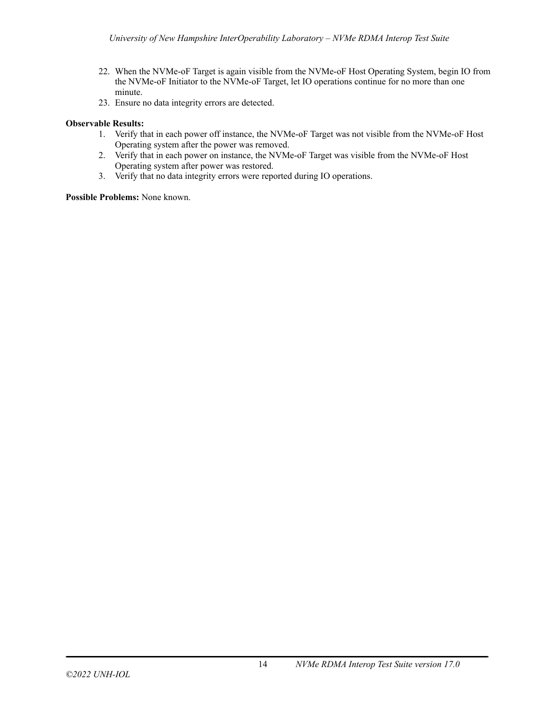- 22. When the NVMe-oF Target is again visible from the NVMe-oF Host Operating System, begin IO from the NVMe-oF Initiator to the NVMe-oF Target, let IO operations continue for no more than one minute.
- 23. Ensure no data integrity errors are detected.

## **Observable Results:**

- 1. Verify that in each power off instance, the NVMe-oF Target was not visible from the NVMe-oF Host Operating system after the power was removed.
- 2. Verify that in each power on instance, the NVMe-oF Target was visible from the NVMe-oF Host Operating system after power was restored.
- 3. Verify that no data integrity errors were reported during IO operations.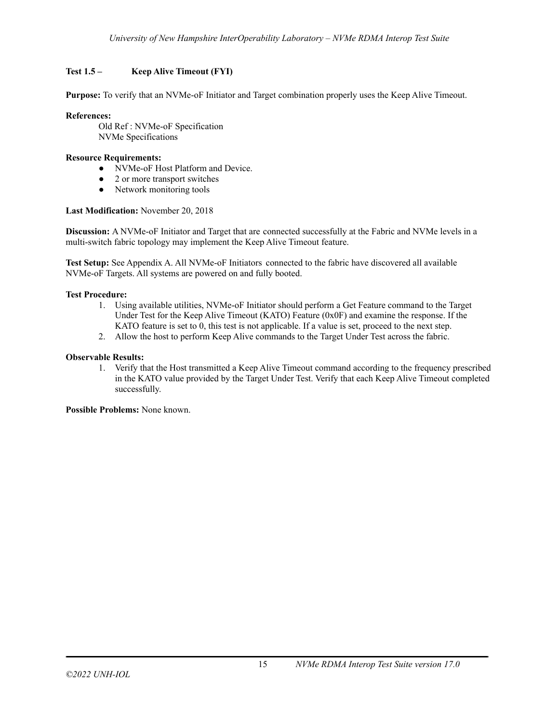## <span id="page-14-0"></span>**Test 1.5 – Keep Alive Timeout (FYI)**

**Purpose:** To verify that an NVMe-oF Initiator and Target combination properly uses the Keep Alive Timeout.

## **References:**

Old Ref : NVMe-oF Specification NVMe Specifications

## **Resource Requirements:**

- NVMe-oF Host Platform and Device.
- 2 or more transport switches
- Network monitoring tools

### **Last Modification:** November 20, 2018

**Discussion:** A NVMe-oF Initiator and Target that are connected successfully at the Fabric and NVMe levels in a multi-switch fabric topology may implement the Keep Alive Timeout feature.

**Test Setup:** See Appendix A. All NVMe-oF Initiators connected to the fabric have discovered all available NVMe-oF Targets. All systems are powered on and fully booted.

## **Test Procedure:**

- 1. Using available utilities, NVMe-oF Initiator should perform a Get Feature command to the Target Under Test for the Keep Alive Timeout (KATO) Feature (0x0F) and examine the response. If the KATO feature is set to 0, this test is not applicable. If a value is set, proceed to the next step.
- 2. Allow the host to perform Keep Alive commands to the Target Under Test across the fabric.

## **Observable Results:**

1. Verify that the Host transmitted a Keep Alive Timeout command according to the frequency prescribed in the KATO value provided by the Target Under Test. Verify that each Keep Alive Timeout completed successfully.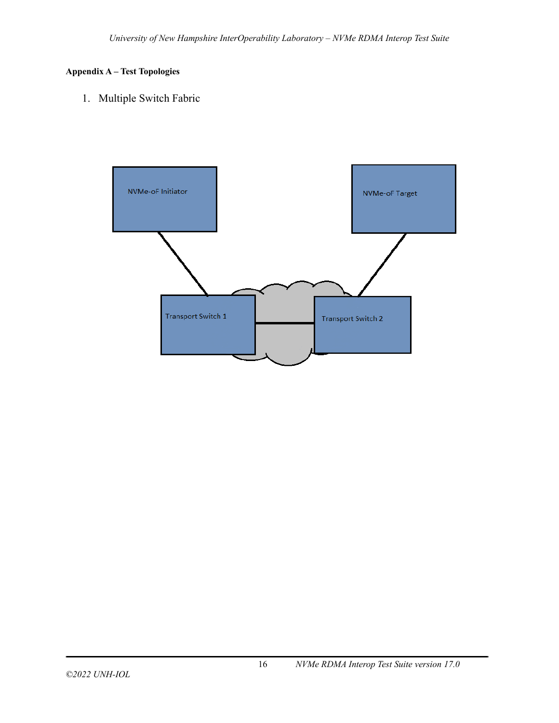## <span id="page-15-0"></span>**Appendix A – Test Topologies**

1. Multiple Switch Fabric

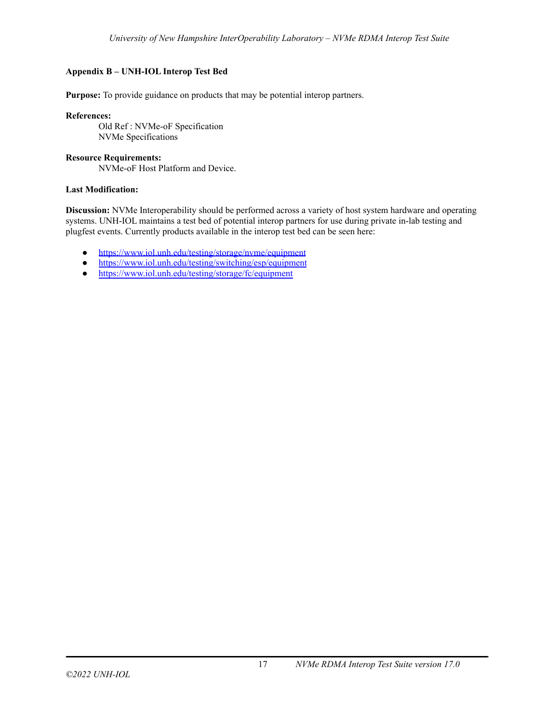## <span id="page-16-0"></span>**Appendix B – UNH-IOL Interop Test Bed**

**Purpose:** To provide guidance on products that may be potential interop partners.

**References:**

Old Ref : NVMe-oF Specification NVMe Specifications

## **Resource Requirements:**

NVMe-oF Host Platform and Device.

## **Last Modification:**

**Discussion:** NVMe Interoperability should be performed across a variety of host system hardware and operating systems. UNH-IOL maintains a test bed of potential interop partners for use during private in-lab testing and plugfest events. Currently products available in the interop test bed can be seen here:

- <https://www.iol.unh.edu/testing/storage/nvme/equipment>
- <https://www.iol.unh.edu/testing/switching/esp/equipment>
- <https://www.iol.unh.edu/testing/storage/fc/equipment>